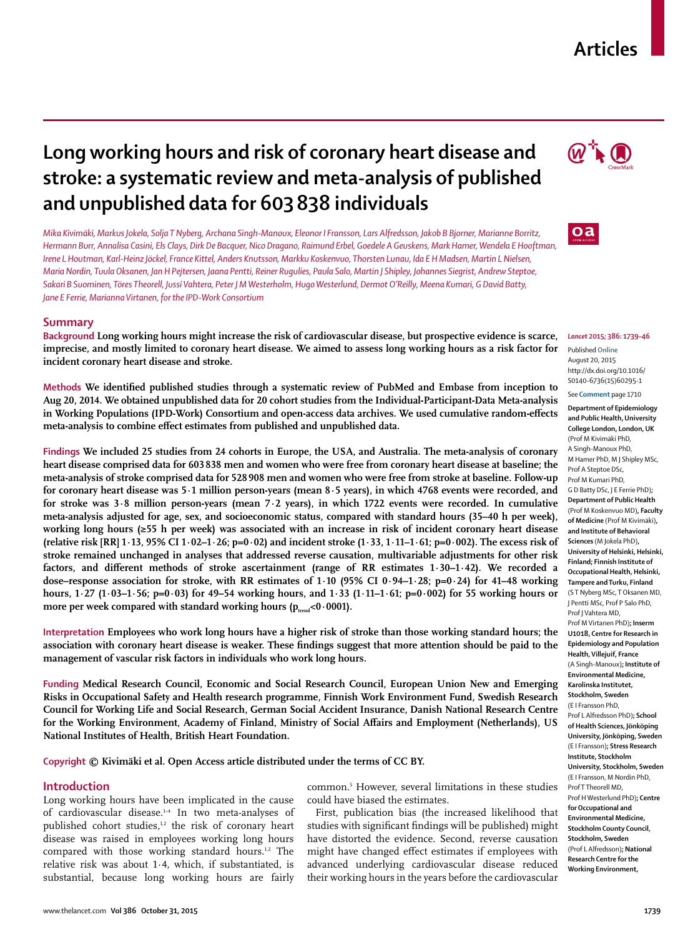## **Articles**

# **Long working hours and risk of coronary heart disease and stroke: a systematic review and meta-analysis of published and unpublished data for 603 838 individuals**

*Mika Kivimäki, Markus Jokela, Solja T Nyberg, Archana Singh-Manoux, Eleonor I Fransson, Lars Alfredsson, Jakob B Bjorner, Marianne Borritz, Hermann Burr, Annalisa Casini, Els Clays, Dirk De Bacquer, Nico Dragano, Raimund Erbel, Goedele A Geuskens, Mark Hamer, Wendela E Hooftman, Irene L Houtman, Karl-Heinz Jöckel, France Kittel, Anders Knutsson, Markku Koskenvuo, Thorsten Lunau, Ida E H Madsen, Martin L Nielsen, Maria Nordin, Tuula Oksanen, Jan H Pejtersen, Jaana Pentti, Reiner Rugulies, Paula Salo, Martin J Shipley, Johannes Siegrist, Andrew Steptoe, Sakari B Suominen, Töres Theorell, Jussi Vahtera, Peter J M Westerholm, Hugo Westerlund, Dermot O'Reilly, Meena Kumari, G David Batty, Jane E Ferrie, Marianna Virtanen, for the IPD-Work Consortium*

## **Summary**

**Background Long working hours might increase the risk of cardiovascular disease, but prospective evidence is scarce, imprecise, and mostly limited to coronary heart disease. We aimed to assess long working hours as a risk factor for incident coronary heart disease and stroke.**

**Methods We identified published studies through a systematic review of PubMed and Embase from inception to Aug 20, 2014. We obtained unpublished data for 20 cohort studies from the Individual-Participant-Data Meta-analysis**  in Working Populations (IPD-Work) Consortium and open-access data archives. We used cumulative random-effects meta-analysis to combine effect estimates from published and unpublished data.

**Findings We included 25 studies from 24 cohorts in Europe, the USA, and Australia. The meta-analysis of coronary heart disease comprised data for 603 838 men and women who were free from coronary heart disease at baseline; the meta-analysis of stroke comprised data for 528 908 men and women who were free from stroke at baseline. Follow-up for coronary heart disease was 5·1 million person-years (mean 8·5 years), in which 4768 events were recorded, and for stroke was 3·8 million person-years (mean 7·2 years), in which 1722 events were recorded. In cumulative meta-analysis adjusted for age, sex, and socioeconomic status, compared with standard hours (35–40 h per week), working long hours (≥55 h per week) was associated with an increase in risk of incident coronary heart disease (relative risk [RR] 1·13, 95% CI 1·02–1·26; p=0·02) and incident stroke (1·33, 1·11–1·61; p=0·002). The excess risk of stroke remained unchanged in analyses that addressed reverse causation, multivariable adjustments for other risk factors, and different methods of stroke ascertainment (range of RR estimates 1·30–1·42). We recorded a dose–response association for stroke, with RR estimates of 1·10 (95% CI 0·94–1·28; p=0·24) for 41–48 working hours, 1·27 (1·03–1·56; p=0·03) for 49–54 working hours, and 1·33 (1·11–1·61; p=0·002) for 55 working hours or**  more per week compared with standard working hours  $(p_{\text{trend}} < 0.0001)$ .

**Interpretation Employees who work long hours have a higher risk of stroke than those working standard hours; the**  association with coronary heart disease is weaker. These findings suggest that more attention should be paid to the **management of vascular risk factors in individuals who work long hours.**

**Funding Medical Research Council, Economic and Social Research Council, European Union New and Emerging Risks in Occupational Safety and Health research programme, Finnish Work Environment Fund, Swedish Research Council for Working Life and Social Research, German Social Accident Insurance, Danish National Research Centre**  for the Working Environment, Academy of Finland, Ministry of Social Affairs and Employment (Netherlands), US **National Institutes of Health, British Heart Foundation.**

## **Copyright © Kivimäki et al. Open Access article distributed under the terms of CC BY.**

## **Introduction**

Long working hours have been implicated in the cause of cardiovascular disease.1–4 In two meta-analyses of published cohort studies,<sup>1,2</sup> the risk of coronary heart disease was raised in employees working long hours compared with those working standard hours.<sup>1,2</sup> The relative risk was about 1·4, which, if substantiated, is substantial, because long working hours are fairly

common.5 However, several limitations in these studies could have biased the estimates.

First, publication bias (the increased likelihood that studies with significant findings will be published) might have distorted the evidence. Second, reverse causation might have changed effect estimates if employees with advanced underlying cardiovascular disease reduced their working hours in the years before the cardiovascular





#### *Lancet* **2015; 386: 1739–46**

Published **Online** August 20, 2015 http://dx.doi.org/10.1016/ S0140-6736(15)60295-1

#### See **Comment** page 1710

**Department of Epidemiology and Public Health, University College London, London, UK**  (Prof M Kivimäki PhD, A Singh-Manoux PhD, M Hamer PhD, M J Shipley MSc, Prof A Steptoe DSc, Prof M Kumari PhD, G D Batty DSc, J E Ferrie PhD)**; Department of Public Health**  (Prof M Koskenvuo MD)**, Faculty of Medicine** (Prof M Kivimäki)**, and Institute of Behavioral Sciences** (M Jokela PhD)**, University of Helsinki, Helsinki, Finland; Finnish Institute of Occupational Health, Helsinki, Tampere and Turku, Finland**  (S T Nyberg MSc, T Oksanen MD, J Pentti MSc, Prof P Salo PhD, Prof J Vahtera MD, Prof M Virtanen PhD)**; Inserm U1018, Centre for Research in Epidemiology and Population Health, Villejuif, France**  (A Singh-Manoux)**; Institute of Environmental Medicine, Karolinska Institutet, Stockholm, Sweden**  (E I Fransson PhD, Prof L Alfredsson PhD)**; School of Health Sciences, Jönköping University, Jönköping, Sweden**  (E I Fransson)**; Stress Research Institute, Stockholm University, Stockholm, Sweden**  (E I Fransson, M Nordin PhD, Prof T Theorell MD, Prof H Westerlund PhD)**; Centre for Occupational and Environmental Medicine, Stockholm County Council, Stockholm, Sweden**  (Prof L Alfredsson)**; National Research Centre for the Working Environment,**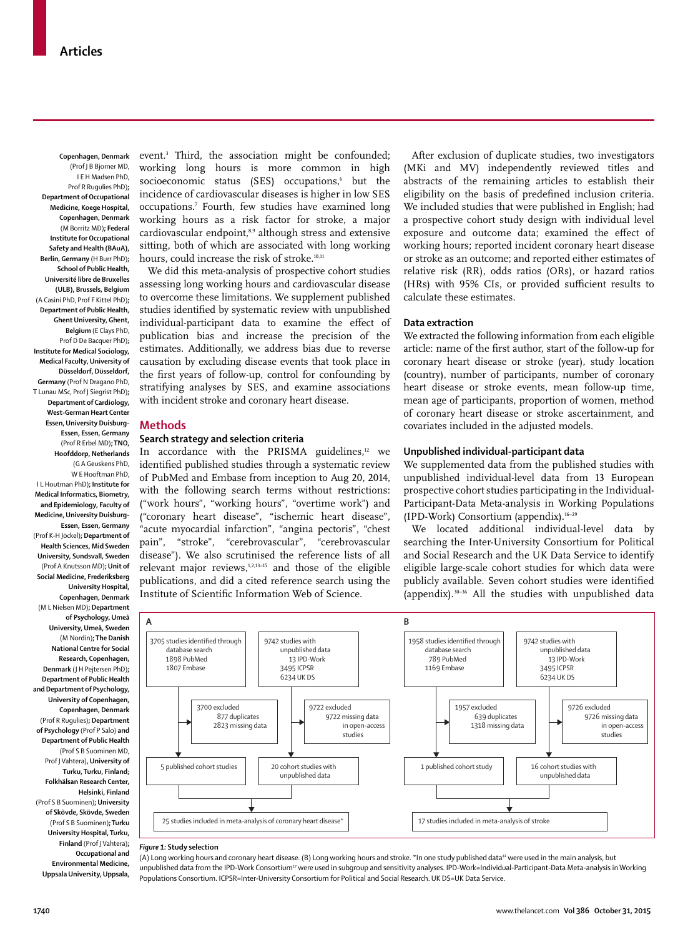**Copenhagen, Denmark**  (Prof J B Bjorner MD, I E H Madsen PhD, Prof R Rugulies PhD)**; Department of Occupational Medicine, Koege Hospital, Copenhagen, Denmark**  (M Borritz MD)**; Federal Institute for Occupational Safety and Health (BAuA), Berlin, Germany** (H Burr PhD)**; School of Public Health, Université libre de Bruxelles (ULB), Brussels, Belgium**  (A Casini PhD, Prof F Kittel PhD)**; Department of Public Health, Ghent University, Ghent, Belgium** (E Clays PhD, Prof D De Bacquer PhD)**; Institute for Medical Sociology, Medical Faculty, University of Düsseldorf, Düsseldorf, Germany** (Prof N Dragano PhD, T Lunau MSc, Prof J Siegrist PhD)**; Department of Cardiology, West-German Heart Center Essen, University Duisburg-Essen, Essen, Germany**  (Prof R Erbel MD)**; TNO, Hoofddorp, Netherlands**  (G A Geuskens PhD, W E Hooftman PhD, I L Houtman PhD)**; Institute for Medical Informatics, Biometry, and Epidemiology, Faculty of Medicine, University Duisburg-Essen, Essen, Germany**  (Prof K-H Jöckel)**; Department of Health Sciences, Mid Sweden University, Sundsvall, Sweden**  (Prof A Knutsson MD)**; Unit of Social Medicine, Frederiksberg University Hospital, Copenhagen, Denmark**  (M L Nielsen MD)**; Department of Psychology, Umeå University, Umeå, Sweden**  (M Nordin)**; The Danish National Centre for Social Research, Copenhagen, Denmark** (J H Pejtersen PhD)**; Department of Public Health and Department of Psychology, University of Copenhagen, Copenhagen, Denmark**  (Prof R Rugulies)**; Department of Psychology** (Prof P Salo) **and Department of Public Health**  (Prof S B Suominen MD, Prof J Vahtera)**, University of Turku, Turku, Finland; Folkhälsan Research Center, Helsinki, Finland**  (Prof S B Suominen)**; University of Skövde, Skövde, Sweden**  (Prof S B Suominen)**; Turku University Hospital, Turku, Finland** (Prof J Vahtera)**; Occupational and** 

**Environmental Medicine, Uppsala University, Uppsala,**

event.3 Third, the association might be confounded; working long hours is more common in high socioeconomic status (SES) occupations,<sup>6</sup> but the incidence of cardiovascular diseases is higher in low SES occupations.7 Fourth, few studies have examined long working hours as a risk factor for stroke, a major cardiovascular endpoint,<sup>8,9</sup> although stress and extensive sitting, both of which are associated with long working hours, could increase the risk of stroke.<sup>10,11</sup>

We did this meta-analysis of prospective cohort studies assessing long working hours and cardiovascular disease to overcome these limitations. We supplement published studies identified by systematic review with unpublished individual-participant data to examine the effect of publication bias and increase the precision of the estimates. Additionally, we address bias due to reverse causation by excluding disease events that took place in the first years of follow-up, control for confounding by stratifying analyses by SES, and examine associations with incident stroke and coronary heart disease.

## **Methods**

## **Search strategy and selection criteria**

In accordance with the PRISMA guidelines, $12$  we identified published studies through a systematic review of PubMed and Embase from inception to Aug 20, 2014, with the following search terms without restrictions: ("work hours", "working hours", "overtime work") and ("coronary heart disease", "ischemic heart disease", "acute myocardial infarction", "angina pectoris", "chest pain", "stroke", "cerebrovascular", "cerebrovascular disease"). We also scrutinised the reference lists of all relevant major reviews, $1,2,13-15$  and those of the eligible publications, and did a cited reference search using the Institute of Scientific Information Web of Science.

After exclusion of duplicate studies, two investigators (MKi and MV) independently reviewed titles and abstracts of the remaining articles to establish their eligibility on the basis of predefined inclusion criteria. We included studies that were published in English; had a prospective cohort study design with individual level exposure and outcome data; examined the effect of working hours; reported incident coronary heart disease or stroke as an outcome; and reported either estimates of relative risk (RR), odds ratios (ORs), or hazard ratios (HRs) with 95% CIs, or provided sufficient results to calculate these estimates.

## **Data extraction**

We extracted the following information from each eligible article: name of the first author, start of the follow-up for coronary heart disease or stroke (year), study location (country), number of participants, number of coronary heart disease or stroke events, mean follow-up time, mean age of participants, proportion of women, method of coronary heart disease or stroke ascertainment, and covariates included in the adjusted models.

## **Unpublished individual-participant data**

We supplemented data from the published studies with unpublished individual-level data from 13 European prospective cohort studies participating in the Individual-Participant-Data Meta-analysis in Working Populations (IPD-Work) Consortium (appendix).16–29

We located additional individual-level data by searching the Inter-University Consortium for Political and Social Research and the UK Data Service to identify eligible large-scale cohort studies for which data were publicly available. Seven cohort studies were identified (appendix).30–36 All the studies with unpublished data



#### *Figure 1:* **Study selection**

(A) Long working hours and coronary heart disease. (B) Long working hours and stroke. \*In one study published data<sup>41</sup> were used in the main analysis, but unpublished data from the IPD-Work Consortium<sup>17</sup> were used in subgroup and sensitivity analyses. IPD-Work=Individual-Participant-Data Meta-analysis in Working Populations Consortium. ICPSR=Inter-University Consortium for Political and Social Research. UK DS=UK Data Service.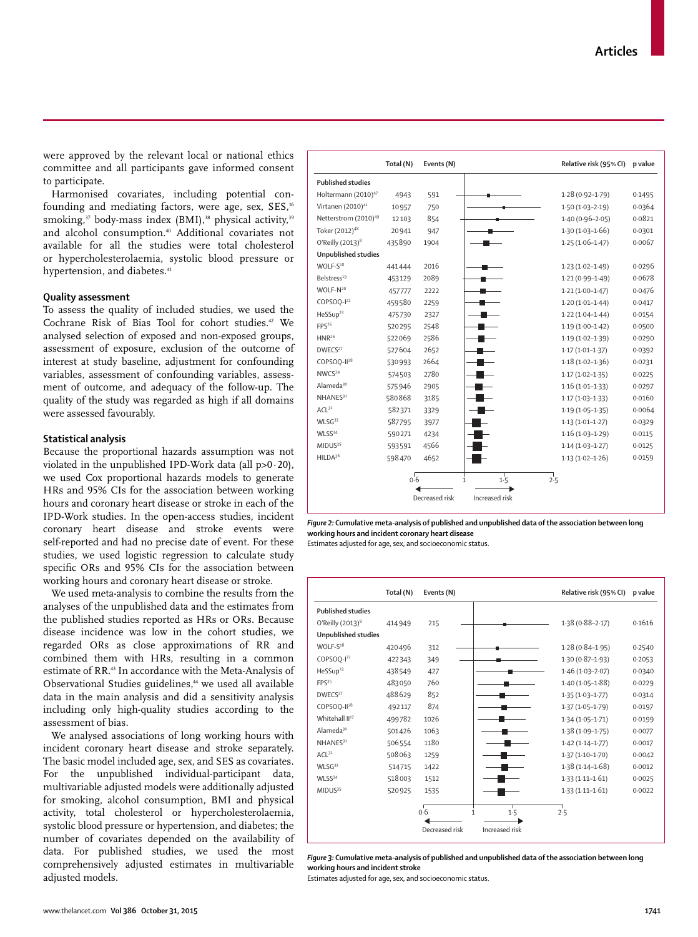were approved by the relevant local or national ethics committee and all participants gave informed consent to participate.

Harmonised covariates, including potential confounding and mediating factors, were age, sex, SES,<sup>16</sup> smoking,<sup>37</sup> body-mass index (BMI),<sup>38</sup> physical activity,<sup>39</sup> and alcohol consumption.<sup>40</sup> Additional covariates not available for all the studies were total cholesterol or hypercholesterolaemia, systolic blood pressure or hypertension, and diabetes.<sup>41</sup>

## **Quality assessment**

To assess the quality of included studies, we used the Cochrane Risk of Bias Tool for cohort studies.42 We analysed selection of exposed and non-exposed groups, assessment of exposure, exclusion of the outcome of interest at study baseline, adjustment for confounding variables, assessment of confounding variables, assessment of outcome, and adequacy of the follow-up. The quality of the study was regarded as high if all domains were assessed favourably.

## **Statistical analysis**

Because the proportional hazards assumption was not violated in the unpublished IPD-Work data (all  $p>0.20$ ), we used Cox proportional hazards models to generate HRs and 95% CIs for the association between working hours and coronary heart disease or stroke in each of the IPD-Work studies. In the open-access studies, incident coronary heart disease and stroke events were self-reported and had no precise date of event. For these studies, we used logistic regression to calculate study specific ORs and 95% CIs for the association between working hours and coronary heart disease or stroke.

We used meta-analysis to combine the results from the analyses of the unpublished data and the estimates from the published studies reported as HRs or ORs. Because disease incidence was low in the cohort studies, we regarded ORs as close approximations of RR and combined them with HRs, resulting in a common estimate of RR.<sup>43</sup> In accordance with the Meta-Analysis of Observational Studies guidelines,<sup>44</sup> we used all available data in the main analysis and did a sensitivity analysis including only high-quality studies according to the assessment of bias.

We analysed associations of long working hours with incident coronary heart disease and stroke separately. The basic model included age, sex, and SES as covariates. For the unpublished individual-participant data, multivariable adjusted models were additionally adjusted for smoking, alcohol consumption, BMI and physical activity, total cholesterol or hypercholesterolaemia, systolic blood pressure or hypertension, and diabetes; the number of covariates depended on the availability of data. For published studies, we used the most comprehensively adjusted estimates in multivariable adjusted models.

|                                  | Total (N)  | Events (N)     | Relative risk (95% CI) p value |        |
|----------------------------------|------------|----------------|--------------------------------|--------|
| <b>Published studies</b>         |            |                |                                |        |
| Holtermann (2010) <sup>47</sup>  | 4943       | 591            | $1.28(0.92 - 1.79)$            | 0.1495 |
| Virtanen (2010) <sup>41</sup>    | 10957      | 750            | $1.50(1.03 - 2.19)$            | 0.0364 |
| Netterstrom (2010) <sup>49</sup> | 12103      | 854            | $1.40(0.96 - 2.05)$            | 0.0821 |
| Toker (2012) <sup>48</sup>       | 20941      | 947            | $1.30(1.03 - 1.66)$            | 0.0301 |
| O'Reilly (2013) <sup>8</sup>     | 435890     | 1904           | $1.25(1.06-1.47)$              | 0.0067 |
| <b>Unpublished studies</b>       |            |                |                                |        |
| WOLF-S <sup>18</sup>             | 441444     | 2016           | $1.23(1.02 - 1.49)$            | 0.0296 |
| Belstress <sup>19</sup>          | 453129     | 2089           | $1.21(0.99 - 1.49)$            | 0.0678 |
| WOLF-N <sup>20</sup>             | 457777     | 2222           | $1.21(1.00-1.47)$              | 0.0476 |
| COPSOQ-l <sup>22</sup>           | 459580     | 2259           | $1.20(1.01 - 1.44)$            | 0.0417 |
| HeSSup <sup>23</sup>             | 475730     | 2327           | $1.22(1.04-1.44)$              | 0.0154 |
| FPS <sup>25</sup>                | 520295     | 2548           | $1.19(1.00-1.42)$              | 0.0500 |
| HNR <sup>26</sup>                | 522069     | 2586           | $1.19(1.02 - 1.39)$            | 0.0290 |
| DWECS <sup>27</sup>              | 527604     | 2652           | $1.17(1.01 - 1.37)$            | 0.0392 |
| COPSOO-II <sup>28</sup>          | 530993     | 2664           | $1.18(1.02 - 1.36)$            | 0.0231 |
| NWCS <sup>29</sup>               | 574503     | 2780           | $1.17(1.02 - 1.35)$            | 0.0225 |
| Alameda <sup>30</sup>            | 575946     | 2905           | $1.16(1.01 - 1.33)$            | 0.0297 |
| NHANES <sup>31</sup>             | 580868     | 3185           | $1.17(1.03 - 1.33)$            | 0.0160 |
| ACL <sup>32</sup>                | 582371     | 3329           | $1.19(1.05 - 1.35)$            | 0.0064 |
| WLSG33                           | 587795     | 3977           | $1.13(1.01-1.27)$              | 0.0329 |
| WLSS <sup>34</sup>               | 590271     | 4234           | $1.16(1.03-1.29)$              | 0.0115 |
| MIDUS <sup>35</sup>              | 593591     | 4566           | $1.14(1.03-1.27)$              | 0.0125 |
| HILDA <sup>36</sup>              | 598470     | 4652           | $1.13(1.02 - 1.26)$            | 0.0159 |
|                                  | $\sqrt{6}$ |                | 2.5<br>1.5<br>$\mathbf{1}$     |        |
|                                  |            | Decreased risk | Increased risk                 |        |

*Figure 2:* **Cumulative meta-analysis of published and unpublished data of the association between long working hours and incident coronary heart disease**

Estimates adjusted for age, sex, and socioeconomic status.

|                            | Total (N) | Events (N)            |                            | Relative risk (95% CI) | p value |
|----------------------------|-----------|-----------------------|----------------------------|------------------------|---------|
| <b>Published studies</b>   |           |                       |                            |                        |         |
| O'Reilly $(2013)^8$        | 414949    | 215                   |                            | $1.38(0.88 - 2.17)$    | 0.1616  |
| Unpublished studies        |           |                       |                            |                        |         |
| $WOI$ F-S <sup>18</sup>    | 420496    | 312                   |                            | $1.28(0.84 - 1.95)$    | 0.2540  |
| COPSOQ-l <sup>22</sup>     | 422343    | 349                   |                            | $1.30(0.87 - 1.93)$    | 0.2053  |
| HeSSup <sup>23</sup>       | 438549    | 427                   |                            | $1.46(1.03 - 2.07)$    | 0.0340  |
| FPS <sup>25</sup>          | 483050    | 760                   |                            | $1.40(1.05-1.88)$      | 0.0229  |
| DWFCS <sup>27</sup>        | 488629    | 852                   |                            | $1.35(1.03 - 1.77)$    | 0.0314  |
| COPSOQ-II <sup>28</sup>    | 492117    | 874                   |                            | $1.37(1.05 - 1.79)$    | 0.0197  |
| Whitehall II <sup>17</sup> | 499782    | 1026                  |                            | $1.34(1.05 - 1.71)$    | 0.0199  |
| Alameda $30$               | 501426    | 1063                  |                            | $1.38(1.09-1.75)$      | 0.0077  |
| NHANES <sup>31</sup>       | 506554    | 1180                  |                            | $1.42(1.14-1.77)$      | 0.0017  |
| AC1 <sup>32</sup>          | 508063    | 1259                  |                            | $1.37(1.10-1.70)$      | 0.0042  |
| WI SG <sup>33</sup>        | 514715    | 1422                  |                            | $1.38(1.14 - 1.68)$    | 0.0012  |
| <b>WI SS34</b>             | 518003    | 1512                  |                            | $1.33(1.11 - 1.61)$    | 0.0025  |
| MIDUS <sup>35</sup>        | 520925    | 1535                  |                            | $1.33(1.11 - 1.61)$    | 0.0022  |
|                            |           | 0.6<br>Decreased risk | 1.5<br>1<br>Increased risk | 2.5                    |         |

*Figure 3:* **Cumulative meta-analysis of published and unpublished data of the association between long working hours and incident stroke**

Estimates adjusted for age, sex, and socioeconomic status.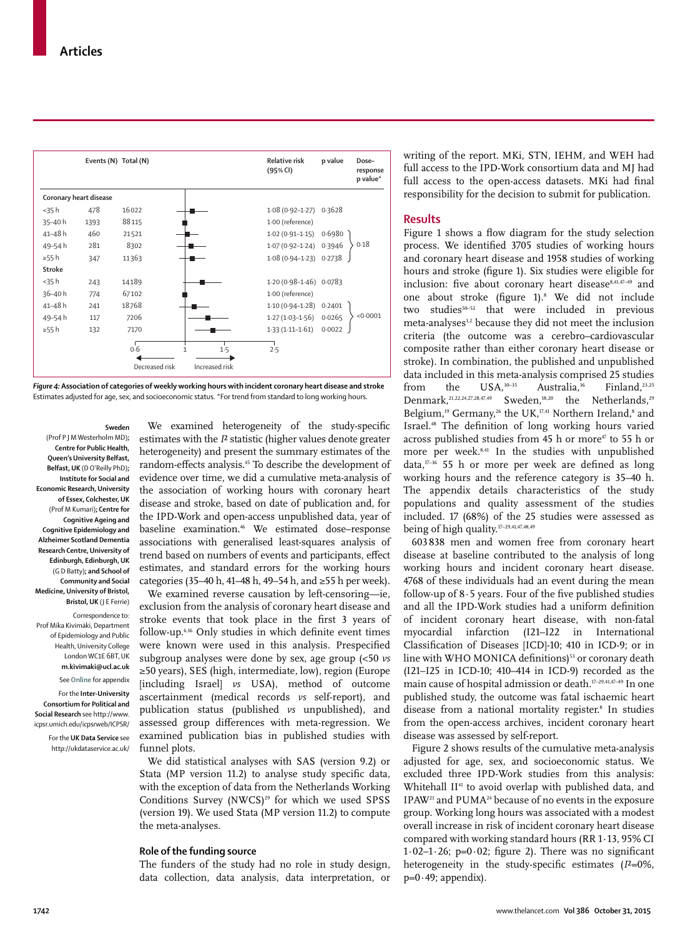

*Figure 4:* **Association of categories of weekly working hours with incident coronary heart disease and stroke** Estimates adjusted for age, sex, and socioeconomic status. \*For trend from standard to long working hours.

**Sweden**  (Prof P J M Westerholm MD)**; Centre for Public Health, Queen's University Belfast, Belfast, UK** (D O'Reilly PhD)**; Institute for Social and Economic Research, University of Essex, Colchester, UK**  (Prof M Kumari)**; Centre for Cognitive Ageing and Cognitive Epidemiology and Alzheimer Scotland Dementia Research Centre, University of Edinburgh, Edinburgh, UK**  (G D Batty)**; and School of Community and Social Medicine, University of Bristol, Bristol, UK** (J E Ferrie)

Correspondence to: Prof Mika Kivimäki, Department of Epidemiology and Public Health, University College London WC1E 6BT, UK **m.kivimaki@ucl.ac.uk**

See **Online** for appendix For the **Inter-University Consortium for Political and Social Research** see http://www. icpsr.umich.edu/icpsrweb/ICPSR/

> For the **UK Data Service** see http://ukdataservice.ac.uk/

We examined heterogeneity of the study-specific estimates with the *I*² statistic (higher values denote greater heterogeneity) and present the summary estimates of the random-effects analysis.<sup>45</sup> To describe the development of evidence over time, we did a cumulative meta-analysis of the association of working hours with coronary heart disease and stroke, based on date of publication and, for the IPD-Work and open-access unpublished data, year of baseline examination.46 We estimated dose–response associations with generalised least-squares analysis of trend based on numbers of events and participants, effect estimates, and standard errors for the working hours categories (35–40 h, 41–48 h, 49–54 h, and  $\geq$ 55 h per week).

We examined reverse causation by left-censoring—ie, exclusion from the analysis of coronary heart disease and stroke events that took place in the first 3 years of follow-up.<sup>6,16</sup> Only studies in which definite event times were known were used in this analysis. Prespecified subgroup analyses were done by sex, age group (<50 *vs* ≥50 years), SES (high, intermediate, low), region (Europe [including Israel] *vs* USA), method of outcome ascertainment (medical records *vs* self-report), and publication status (published *vs* unpublished), and assessed group differences with meta-regression. We examined publication bias in published studies with funnel plots.

We did statistical analyses with SAS (version 9.2) or Stata (MP version 11.2) to analyse study specific data, with the exception of data from the Netherlands Working Conditions Survey (NWCS)<sup>29</sup> for which we used SPSS (version 19). We used Stata (MP version 11.2) to compute the meta-analyses.

## **Role of the funding source**

The funders of the study had no role in study design, data collection, data analysis, data interpretation, or writing of the report. MKi, STN, IEHM, and WEH had full access to the IPD-Work consortium data and MJ had full access to the open-access datasets. MKi had final responsibility for the decision to submit for publication.

## **Results**

Figure 1 shows a flow diagram for the study selection process. We identified 3705 studies of working hours and coronary heart disease and 1958 studies of working hours and stroke (figure 1). Six studies were eligible for inclusion: five about coronary heart disease $8,41,47-49$  and one about stroke (figure 1).<sup>8</sup> We did not include two studies<sup>50-52</sup> that were included in previous meta-analyses<sup>1,2</sup> because they did not meet the inclusion criteria (the outcome was a cerebro–cardiovascular composite rather than either coronary heart disease or stroke). In combination, the published and unpublished data included in this meta-analysis comprised 25 studies<br>from the USA,<sup>30-35</sup> Australia,<sup>36</sup> Finland.<sup>32,25</sup> from the USA,  $30-35$  Australia,  $36$ Denmark,<sup>21,22,24,27,28,47,49</sup> Sweden,<sup>18,20</sup> the Netherlands,<sup>29</sup> Belgium,<sup>19</sup> Germany,<sup>26</sup> the UK,<sup>17,41</sup> Northern Ireland,<sup>8</sup> and Israel.<sup>48</sup> The definition of long working hours varied across published studies from 45 h or more<sup>47</sup> to 55 h or more per week.8,41 In the studies with unpublished data, $17-36$  55 h or more per week are defined as long working hours and the reference category is 35–40 h. The appendix details characteristics of the study populations and quality assessment of the studies included. 17 (68%) of the 25 studies were assessed as being of high quality.17–29,41,47,48,49

603 838 men and women free from coronary heart disease at baseline contributed to the analysis of long working hours and incident coronary heart disease. 4768 of these individuals had an event during the mean follow-up of  $8.5$  years. Four of the five published studies and all the IPD-Work studies had a uniform definition of incident coronary heart disease, with non-fatal myocardial infarction (I21–I22 in International Classification of Diseases [ICD]-10; 410 in ICD-9; or in line with WHO MONICA definitions)<sup>53</sup> or coronary death (I21–I25 in ICD-10; 410–414 in ICD-9) recorded as the main cause of hospital admission or death.17–29,41,47–49 In one published study, the outcome was fatal ischaemic heart disease from a national mortality register.<sup>8</sup> In studies from the open-access archives, incident coronary heart disease was assessed by self-report.

Figure 2 shows results of the cumulative meta-analysis adjusted for age, sex, and socioeconomic status. We excluded three IPD-Work studies from this analysis: Whitehall II<sup>41</sup> to avoid overlap with published data, and IPAW21 and PUMA24 because of no events in the exposure group. Working long hours was associated with a modest overall increase in risk of incident coronary heart disease compared with working standard hours (RR 1·13, 95% CI 1·02–1·26; p=0·02; figure 2). There was no significant heterogeneity in the study-specific estimates ( $I^2=0\%$ ,  $p=0.49$ ; appendix).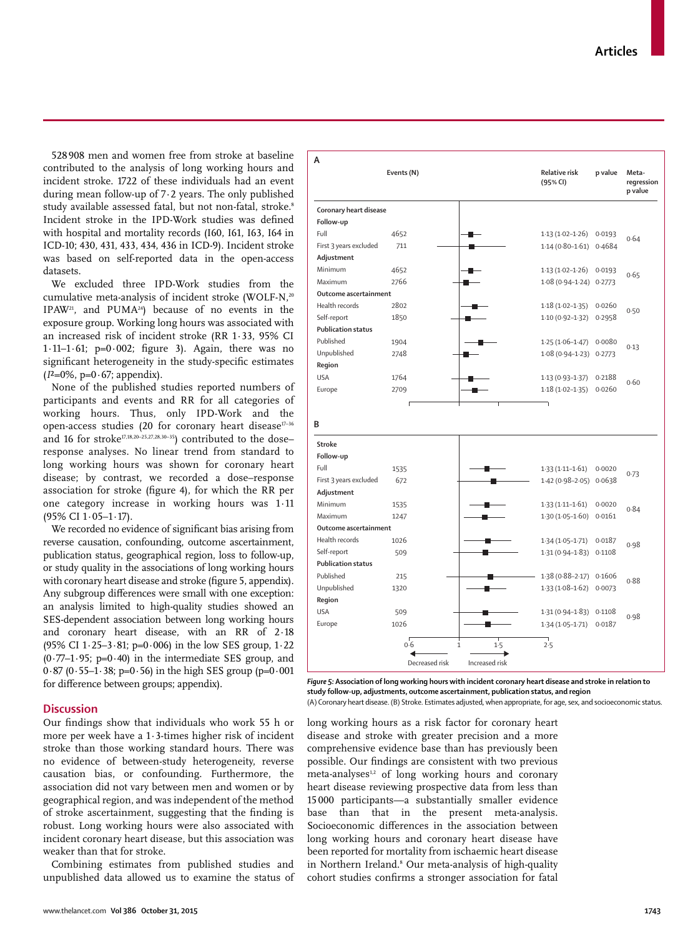528 908 men and women free from stroke at baseline contributed to the analysis of long working hours and incident stroke. 1722 of these individuals had an event during mean follow-up of 7·2 years. The only published study available assessed fatal, but not non-fatal, stroke.8 Incident stroke in the IPD-Work studies was defined with hospital and mortality records (I60, I61, I63, I64 in ICD-10; 430, 431, 433, 434, 436 in ICD-9). Incident stroke was based on self-reported data in the open-access datasets.

We excluded three IPD-Work studies from the cumulative meta-analysis of incident stroke (WOLF-N,20  $IPAW^{21}$ , and  $PUMA^{24}$ ) because of no events in the exposure group. Working long hours was associated with an increased risk of incident stroke (RR 1·33, 95% CI 1·11-1·61;  $p=0.002$ ; figure 3). Again, there was no significant heterogeneity in the study-specific estimates  $(I^2=0\%, p=0.67;$  appendix).

None of the published studies reported numbers of participants and events and RR for all categories of working hours. Thus, only IPD-Work and the open-access studies (20 for coronary heart disease<sup>17-36</sup> and 16 for stroke<sup>17,18,20-25,27,28,30-35</sup>) contributed to the doseresponse analyses. No linear trend from standard to long working hours was shown for coronary heart disease; by contrast, we recorded a dose–response association for stroke (figure 4), for which the RR per one category increase in working hours was 1·11 (95% CI 1·05–1·17).

We recorded no evidence of significant bias arising from reverse causation, confounding, outcome ascertainment, publication status, geographical region, loss to follow-up, or study quality in the associations of long working hours with coronary heart disease and stroke (figure 5, appendix). Any subgroup differences were small with one exception: an analysis limited to high-quality studies showed an SES-dependent association between long working hours and coronary heart disease, with an RR of 2·18 (95% CI  $1.25-3.81$ ; p=0.006) in the low SES group,  $1.22$  $(0.77-1.95; p=0.40)$  in the intermediate SES group, and  $0.87 (0.55-1.38; p=0.56)$  in the high SES group ( $p=0.001$ ) for difference between groups; appendix).

## **Discussion**

Our findings show that individuals who work 55 h or more per week have a 1·3-times higher risk of incident stroke than those working standard hours. There was no evidence of between-study heterogeneity, reverse causation bias, or confounding. Furthermore, the association did not vary between men and women or by geographical region, and was independent of the method of stroke ascertainment, suggesting that the finding is robust. Long working hours were also associated with incident coronary heart disease, but this association was weaker than that for stroke.

Combining estimates from published studies and unpublished data allowed us to examine the status of



*Figure 5:* **Association of long working hours with incident coronary heart disease and stroke in relation to study follow-up, adjustments, outcome ascertainment, publication status, and region** (A) Coronary heart disease. (B) Stroke. Estimates adjusted, when appropriate, for age, sex, and socioeconomic status.

long working hours as a risk factor for coronary heart disease and stroke with greater precision and a more comprehensive evidence base than has previously been possible. Our findings are consistent with two previous meta-analyses<sup>1,2</sup> of long working hours and coronary heart disease reviewing prospective data from less than 15 000 participants—a substantially smaller evidence base than that in the present meta-analysis. Socioeconomic differences in the association between long working hours and coronary heart disease have been reported for mortality from ischaemic heart disease in Northern Ireland.<sup>8</sup> Our meta-analysis of high-quality cohort studies confirms a stronger association for fatal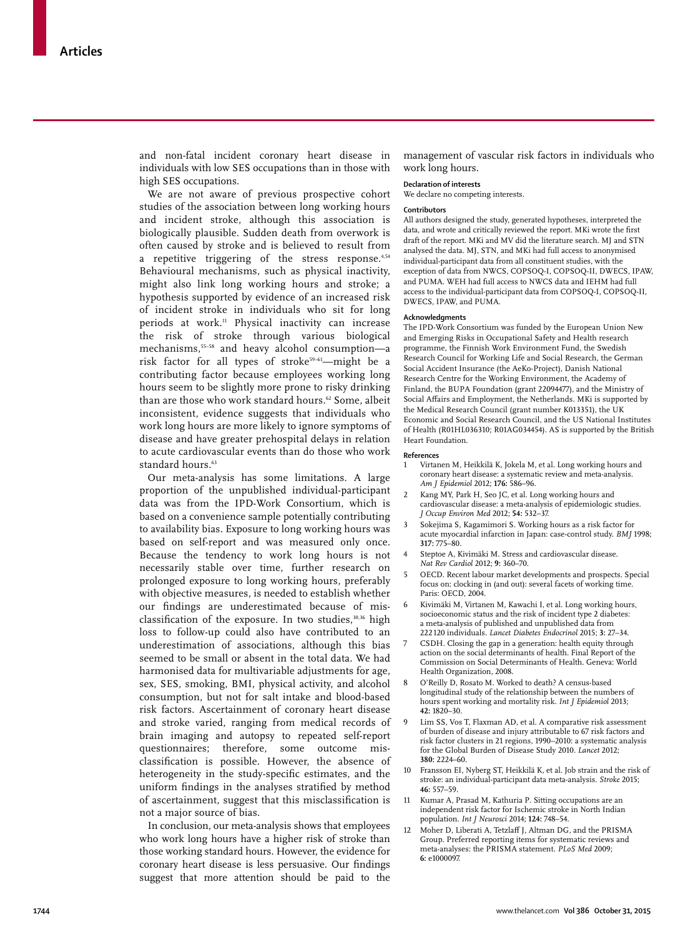and non-fatal incident coronary heart disease in individuals with low SES occupations than in those with high SES occupations.

We are not aware of previous prospective cohort studies of the association between long working hours and incident stroke, although this association is biologically plausible. Sudden death from overwork is often caused by stroke and is believed to result from a repetitive triggering of the stress response.<sup>4,54</sup> Behavioural mechanisms, such as physical inactivity, might also link long working hours and stroke; a hypothesis supported by evidence of an increased risk of incident stroke in individuals who sit for long periods at work.<sup>11</sup> Physical inactivity can increase the risk of stroke through various biological mechanisms,55–58 and heavy alcohol consumption—a risk factor for all types of stroke<sup>59-61</sup>-might be a contributing factor because employees working long hours seem to be slightly more prone to risky drinking than are those who work standard hours.<sup>62</sup> Some, albeit inconsistent, evidence suggests that individuals who work long hours are more likely to ignore symptoms of disease and have greater prehospital delays in relation to acute cardiovascular events than do those who work standard hours.<sup>63</sup>

Our meta-analysis has some limitations. A large proportion of the unpublished individual-participant data was from the IPD-Work Consortium, which is based on a convenience sample potentially contributing to availability bias. Exposure to long working hours was based on self-report and was measured only once. Because the tendency to work long hours is not necessarily stable over time, further research on prolonged exposure to long working hours, preferably with objective measures, is needed to establish whether our findings are underestimated because of misclassification of the exposure. In two studies, $30,36$  high loss to follow-up could also have contributed to an underestimation of associations, although this bias seemed to be small or absent in the total data. We had harmonised data for multivariable adjustments for age, sex, SES, smoking, BMI, physical activity, and alcohol consumption, but not for salt intake and blood-based risk factors. Ascertainment of coronary heart disease and stroke varied, ranging from medical records of brain imaging and autopsy to repeated self-report questionnaires; therefore, some outcome misclassification is possible. However, the absence of heterogeneity in the study-specific estimates, and the uniform findings in the analyses stratified by method of ascertainment, suggest that this misclassification is not a major source of bias.

In conclusion, our meta-analysis shows that employees who work long hours have a higher risk of stroke than those working standard hours. However, the evidence for coronary heart disease is less persuasive. Our findings suggest that more attention should be paid to the management of vascular risk factors in individuals who work long hours.

## **Declaration of interests**

We declare no competing interests.

## **Contributors**

All authors designed the study, generated hypotheses, interpreted the data, and wrote and critically reviewed the report. MKi wrote the first draft of the report. MKi and MV did the literature search. MJ and STN analysed the data. MJ, STN, and MKi had full access to anonymised individual-participant data from all constituent studies, with the exception of data from NWCS, COPSOQ-I, COPSOQ-II, DWECS, IPAW, and PUMA. WEH had full access to NWCS data and IEHM had full access to the individual-participant data from COPSOQ-I, COPSOQ-II, DWECS, IPAW, and PUMA.

#### **Acknowledgments**

The IPD-Work Consortium was funded by the European Union New and Emerging Risks in Occupational Safety and Health research programme, the Finnish Work Environment Fund, the Swedish Research Council for Working Life and Social Research, the German Social Accident Insurance (the AeKo-Project), Danish National Research Centre for the Working Environment, the Academy of Finland, the BUPA Foundation (grant 22094477), and the Ministry of Social Affairs and Employment, the Netherlands. MKi is supported by the Medical Research Council (grant number K013351), the UK Economic and Social Research Council, and the US National Institutes of Health (R01HL036310; R01AG034454). AS is supported by the British Heart Foundation.

#### **References**

- Virtanen M, Heikkilä K, Jokela M, et al. Long working hours and coronary heart disease: a systematic review and meta-analysis. *Am J Epidemiol* 2012; **176:** 586–96.
- Kang MY, Park H, Seo JC, et al. Long working hours and cardiovascular disease: a meta-analysis of epidemiologic studies. *J Occup Environ Med* 2012; **54:** 532–37.
- 3 Sokejima S, Kagamimori S. Working hours as a risk factor for acute myocardial infarction in Japan: case-control study. *BMJ* 1998; **317:** 775–80.
- 4 Steptoe A, Kivimäki M. Stress and cardiovascular disease. *Nat Rev Cardiol* 2012; **9:** 360–70.
- 5 OECD. Recent labour market developments and prospects. Special focus on: clocking in (and out): several facets of working time. Paris: OECD, 2004.
- 6 Kivimäki M, Virtanen M, Kawachi I, et al. Long working hours, socioeconomic status and the risk of incident type 2 diabetes: a meta-analysis of published and unpublished data from 222 120 individuals. *Lancet Diabetes Endocrinol* 2015; **3:** 27–34.
- CSDH. Closing the gap in a generation: health equity through action on the social determinants of health. Final Report of the Commission on Social Determinants of Health. Geneva: World Health Organization, 2008.
- 8 O'Reilly D, Rosato M. Worked to death? A census-based longitudinal study of the relationship between the numbers of hours spent working and mortality risk. *Int J Epidemiol* 2013; **42:** 1820–30.
- 9 Lim SS, Vos T, Flaxman AD, et al. A comparative risk assessment of burden of disease and injury attributable to 67 risk factors and risk factor clusters in 21 regions, 1990–2010: a systematic analysis for the Global Burden of Disease Study 2010. *Lancet* 2012; **380:** 2224–60.
- 10 Fransson EI, Nyberg ST, Heikkilä K, et al. Job strain and the risk of stroke: an individual-participant data meta-analysis. *Stroke* 2015; **46:** 557–59.
- 11 Kumar A, Prasad M, Kathuria P. Sitting occupations are an independent risk factor for Ischemic stroke in North Indian population. *Int J Neurosci* 2014; **124:** 748–54.
- Moher D, Liberati A, Tetzlaff J, Altman DG, and the PRISMA Group. Preferred reporting items for systematic reviews and meta-analyses: the PRISMA statement. *PLoS Med* 2009; **6:** e1000097.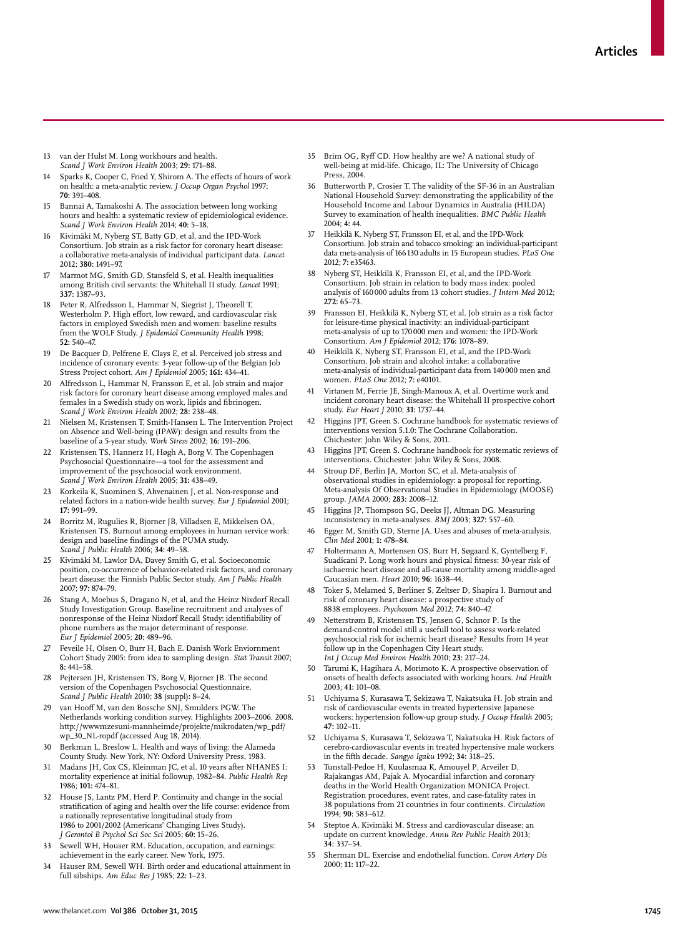- 13 van der Hulst M. Long workhours and health. *Scand J Work Environ Health* 2003; **29:** 171–88.
- 14 Sparks K, Cooper C, Fried Y, Shirom A. The effects of hours of work on health: a meta-analytic review. *J Occup Organ Psychol* 1997; **70:** 391–408.
- 15 Bannai A, Tamakoshi A. The association between long working hours and health: a systematic review of epidemiological evidence. *Scand J Work Environ Health* 2014; **40:** 5–18.
- Kivimäki M, Nyberg ST, Batty GD, et al, and the IPD-Work Consortium. Job strain as a risk factor for coronary heart disease: a collaborative meta-analysis of individual participant data. *Lancet* 2012; **380:** 1491–97.
- 17 Marmot MG, Smith GD, Stansfeld S, et al. Health inequalities among British civil servants: the Whitehall II study. *Lancet* 1991; **337:** 1387–93.
- 18 Peter R, Alfredsson L, Hammar N, Siegrist J, Theorell T, Westerholm P. High effort, low reward, and cardiovascular risk factors in employed Swedish men and women: baseline results from the WOLF Study. *J Epidemiol Community Health* 1998; **52:** 540–47.
- 19 De Bacquer D, Pelfrene E, Clays E, et al. Perceived job stress and incidence of coronary events: 3-year follow-up of the Belgian Job Stress Project cohort. *Am J Epidemiol* 2005; **161:** 434–41.
- Alfredsson L, Hammar N, Fransson E, et al. Job strain and major risk factors for coronary heart disease among employed males and females in a Swedish study on work, lipids and fibrinogen. *Scand J Work Environ Health* 2002; **28:** 238–48.
- 21 Nielsen M, Kristensen T, Smith-Hansen L. The Intervention Project on Absence and Well-being (IPAW): design and results from the baseline of a 5-year study. *Work Stress* 2002; **16:** 191–206.
- 22 Kristensen TS, Hannerz H, Høgh A, Borg V. The Copenhagen Psychosocial Questionnaire—a tool for the assessment and improvement of the psychosocial work environment. *Scand J Work Environ Health* 2005; **31:** 438–49.
- 23 Korkeila K, Suominen S, Ahvenainen J, et al. Non-response and related factors in a nation-wide health survey. *Eur J Epidemiol* 2001; **17:** 991–99.
- 24 Borritz M, Rugulies R, Bjorner JB, Villadsen E, Mikkelsen OA, Kristensen TS. Burnout among employees in human service work: design and baseline findings of the PUMA study. *Scand J Public Health* 2006; **34:** 49–58.
- 25 Kivimäki M, Lawlor DA, Davey Smith G, et al. Socioeconomic position, co-occurrence of behavior-related risk factors, and coronary heart disease: the Finnish Public Sector study. *Am J Public Health* 2007; **97:** 874–79.
- 26 Stang A, Moebus S, Dragano N, et al, and the Heinz Nixdorf Recall Study Investigation Group. Baseline recruitment and analyses of nonresponse of the Heinz Nixdorf Recall Study: identifiability of phone numbers as the major determinant of response. *Eur J Epidemiol* 2005; **20:** 489–96.
- 27 Feveile H, Olsen O, Burr H, Bach E. Danish Work Enviornment Cohort Study 2005: from idea to sampling design. *Stat Transit* 2007; **8:** 441–58.
- 28 Pejtersen JH, Kristensen TS, Borg V, Bjorner JB. The second version of the Copenhagen Psychosocial Questionnaire. *Scand J Public Health* 2010; **38** (suppl)**:** 8–24.
- 29 van Hooff M, van den Bossche SNJ, Smulders PGW. The Netherlands working condition survey. Highlights 2003–2006. 2008. http://wwwmzesuni-mannheimde/projekte/mikrodaten/wp\_pdf/ wp\_30\_NL-ropdf (accessed Aug 18, 2014).
- 30 Berkman L, Breslow L. Health and ways of living: the Alameda County Study. New York, NY: Oxford University Press, 1983.
- 31 Madans JH, Cox CS, Kleinman JC, et al. 10 years after NHANES I: mortality experience at initial followup, 1982–84. *Public Health Rep* 1986; **101:** 474–81.
- 32 House JS, Lantz PM, Herd P. Continuity and change in the social stratification of aging and health over the life course: evidence from a nationally representative longitudinal study from 1986 to 2001/2002 (Americans' Changing Lives Study). *J Gerontol B Psychol Sci Soc Sci* 2005; **60:** 15–26.
- 33 Sewell WH, Houser RM. Education, occupation, and earnings: achievement in the early career. New York, 1975.
- 34 Hauser RM, Sewell WH. Birth order and educational attainment in full sibships. *Am Educ Res J* 1985; **22:** 1–23.
- 35 Brim OG, Ryff CD. How healthy are we? A national study of well-being at mid-life. Chicago, IL: The University of Chicago Press, 2004.
- 36 Butterworth P, Crosier T. The validity of the SF-36 in an Australian National Household Survey: demonstrating the applicability of the Household Income and Labour Dynamics in Australia (HILDA) Survey to examination of health inequalities. *BMC Public Health* 2004; **4:** 44.
- 37 Heikkilä K, Nyberg ST, Fransson EI, et al, and the IPD-Work Consortium. Job strain and tobacco smoking: an individual-participant data meta-analysis of 166 130 adults in 15 European studies. *PLoS One* 2012; **7:** e35463.
- 38 Nyberg ST, Heikkilä K, Fransson EI, et al, and the IPD-Work Consortium. Job strain in relation to body mass index: pooled analysis of 160 000 adults from 13 cohort studies. *J Intern Med* 2012; **272:** 65–73.
- 39 Fransson EI, Heikkilä K, Nyberg ST, et al. Job strain as a risk factor for leisure-time physical inactivity: an individual-participant meta-analysis of up to 170 000 men and women: the IPD-Work Consortium. *Am J Epidemiol* 2012; **176:** 1078–89.
- 40 Heikkilä K, Nyberg ST, Fransson EI, et al, and the IPD-Work Consortium. Job strain and alcohol intake: a collaborative meta-analysis of individual-participant data from 140 000 men and women. *PLoS One* 2012; **7:** e40101.
- 41 Virtanen M, Ferrie JE, Singh-Manoux A, et al. Overtime work and incident coronary heart disease: the Whitehall II prospective cohort study. *Eur Heart J* 2010; **31:** 1737–44.
- Higgins JPT, Green S. Cochrane handbook for systematic reviews of interventions version 5.1.0: The Cochrane Collaboration. Chichester: John Wiley & Sons, 2011.
- 43 Higgins JPT, Green S. Cochrane handbook for systematic reviews of interventions. Chichester: John Wiley & Sons, 2008.
- Stroup DF, Berlin JA, Morton SC, et al. Meta-analysis of observational studies in epidemiology: a proposal for reporting. Meta-analysis Of Observational Studies in Epidemiology (MOOSE) group. *JAMA* 2000; **283:** 2008–12.
- 45 Higgins JP, Thompson SG, Deeks JJ, Altman DG. Measuring inconsistency in meta-analyses. *BMJ* 2003; **327:** 557–60.
- Egger M, Smith GD, Sterne JA. Uses and abuses of meta-analysis. *Clin Med* 2001; **1:** 478–84.
- 47 Holtermann A, Mortensen OS, Burr H, Søgaard K, Gyntelberg F, Suadicani P. Long work hours and physical fitness: 30-year risk of ischaemic heart disease and all-cause mortality among middle-aged Caucasian men. *Heart* 2010; **96:** 1638–44.
- 48 Toker S, Melamed S, Berliner S, Zeltser D, Shapira I. Burnout and risk of coronary heart disease: a prospective study of 8838 employees. *Psychosom Med* 2012; **74:** 840–47.
- Netterstrøm B, Kristensen TS, Jensen G, Schnor P. Is the demand-control model still a usefull tool to assess work-related psychosocial risk for ischemic heart disease? Results from 14 year follow up in the Copenhagen City Heart study. *Int J Occup Med Environ Health* 2010; **23:** 217–24.
- Tarumi K, Hagihara A, Morimoto K. A prospective observation of onsets of health defects associated with working hours. *Ind Health* 2003; **41:** 101–08.
- 51 Uchiyama S, Kurasawa T, Sekizawa T, Nakatsuka H. Job strain and risk of cardiovascular events in treated hypertensive Japanese workers: hypertension follow-up group study. *J Occup Health* 2005; **47:** 102–11.
- 52 Uchiyama S, Kurasawa T, Sekizawa T, Nakatsuka H. Risk factors of cerebro-cardiovascular events in treated hypertensive male workers in the fi fth decade. *Sangyo Igaku* 1992; **34:** 318–25.
- 53 Tunstall-Pedoe H, Kuulasmaa K, Amouyel P, Arveiler D, Rajakangas AM, Pajak A. Myocardial infarction and coronary deaths in the World Health Organization MONICA Project. Registration procedures, event rates, and case-fatality rates in 38 populations from 21 countries in four continents. *Circulation* 1994; **90:** 583–612.
- 54 Steptoe A, Kivimäki M. Stress and cardiovascular disease: an update on current knowledge. *Annu Rev Public Health* 2013; **34:** 337–54.
- 55 Sherman DL. Exercise and endothelial function. *Coron Artery Dis* 2000; **11:** 117–22.